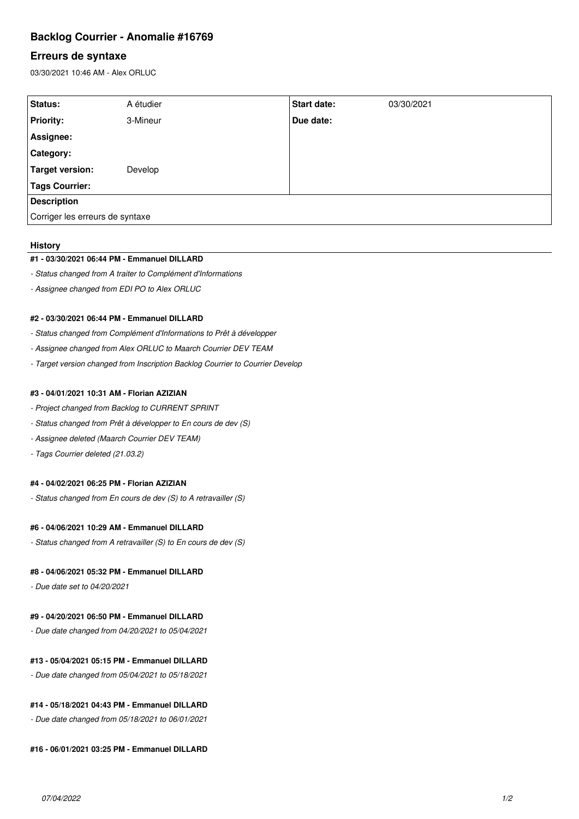# **Backlog Courrier - Anomalie #16769**

# **Erreurs de syntaxe**

03/30/2021 10:46 AM - Alex ORLUC

| Status:                         | A étudier | <b>Start date:</b> | 03/30/2021 |
|---------------------------------|-----------|--------------------|------------|
| <b>Priority:</b>                | 3-Mineur  | Due date:          |            |
| Assignee:                       |           |                    |            |
| <b>Category:</b>                |           |                    |            |
| Target version:                 | Develop   |                    |            |
| <b>Tags Courrier:</b>           |           |                    |            |
| <b>Description</b>              |           |                    |            |
| Corriger les erreurs de syntaxe |           |                    |            |

#### **History**

# **#1 - 03/30/2021 06:44 PM - Emmanuel DILLARD**

- *Status changed from A traiter to Complément d'Informations*
- *Assignee changed from EDI PO to Alex ORLUC*

# **#2 - 03/30/2021 06:44 PM - Emmanuel DILLARD**

- *Status changed from Complément d'Informations to Prêt à développer*
- *Assignee changed from Alex ORLUC to Maarch Courrier DEV TEAM*
- *Target version changed from Inscription Backlog Courrier to Courrier Develop*

### **#3 - 04/01/2021 10:31 AM - Florian AZIZIAN**

- *Project changed from Backlog to CURRENT SPRINT*
- *Status changed from Prêt à développer to En cours de dev (S)*
- *Assignee deleted (Maarch Courrier DEV TEAM)*
- *Tags Courrier deleted (21.03.2)*

# **#4 - 04/02/2021 06:25 PM - Florian AZIZIAN**

*- Status changed from En cours de dev (S) to A retravailler (S)*

# **#6 - 04/06/2021 10:29 AM - Emmanuel DILLARD**

*- Status changed from A retravailler (S) to En cours de dev (S)*

# **#8 - 04/06/2021 05:32 PM - Emmanuel DILLARD**

*- Due date set to 04/20/2021*

### **#9 - 04/20/2021 06:50 PM - Emmanuel DILLARD**

*- Due date changed from 04/20/2021 to 05/04/2021*

#### **#13 - 05/04/2021 05:15 PM - Emmanuel DILLARD**

*- Due date changed from 05/04/2021 to 05/18/2021*

#### **#14 - 05/18/2021 04:43 PM - Emmanuel DILLARD**

*- Due date changed from 05/18/2021 to 06/01/2021*

# **#16 - 06/01/2021 03:25 PM - Emmanuel DILLARD**